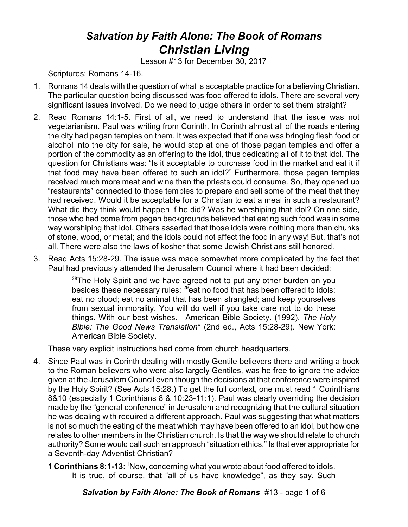## *Salvation by Faith Alone: The Book of Romans Christian Living*

Lesson #13 for December 30, 2017

Scriptures: Romans 14-16.

- 1. Romans 14 deals with the question of what is acceptable practice for a believing Christian. The particular question being discussed was food offered to idols. There are several very significant issues involved. Do we need to judge others in order to set them straight?
- 2. Read Romans 14:1-5. First of all, we need to understand that the issue was not vegetarianism. Paul was writing from Corinth. In Corinth almost all of the roads entering the city had pagan temples on them. It was expected that if one was bringing flesh food or alcohol into the city for sale, he would stop at one of those pagan temples and offer a portion of the commodity as an offering to the idol, thus dedicating all of it to that idol. The question for Christians was: "Is it acceptable to purchase food in the market and eat it if that food may have been offered to such an idol?" Furthermore, those pagan temples received much more meat and wine than the priests could consume. So, they opened up "restaurants" connected to those temples to prepare and sell some of the meat that they had received. Would it be acceptable for a Christian to eat a meal in such a restaurant? What did they think would happen if he did? Was he worshiping that idol? On one side, those who had come from pagan backgrounds believed that eating such food was in some way worshiping that idol. Others asserted that those idols were nothing more than chunks of stone, wood, or metal; and the idols could not affect the food in any way! But, that's not all. There were also the laws of kosher that some Jewish Christians still honored.
- 3. Read Acts 15:28-29. The issue was made somewhat more complicated by the fact that Paul had previously attended the Jerusalem Council where it had been decided:

<sup>28</sup>The Holy Spirit and we have agreed not to put any other burden on you besides these necessary rules: <sup>29</sup>eat no food that has been offered to idols; eat no blood; eat no animal that has been strangled; and keep yourselves from sexual immorality. You will do well if you take care not to do these things. With our best wishes.—American Bible Society. (1992). *The Holy Bible: The Good News Translation*\* (2nd ed., Acts 15:28-29). New York: American Bible Society.

These very explicit instructions had come from church headquarters.

- 4. Since Paul was in Corinth dealing with mostly Gentile believers there and writing a book to the Roman believers who were also largely Gentiles, was he free to ignore the advice given at the Jerusalem Council even though the decisions at that conference were inspired by the Holy Spirit? (See Acts 15:28.) To get the full context, one must read 1 Corinthians 8&10 (especially 1 Corinthians 8 & 10:23-11:1). Paul was clearly overriding the decision made by the "general conference" in Jerusalem and recognizing that the cultural situation he was dealing with required a different approach. Paul was suggesting that what matters is not so much the eating of the meat which may have been offered to an idol, but how one relates to other members in the Christian church. Is that the way we should relate to church authority? Some would call such an approach "situation ethics." Is that ever appropriate for a Seventh-day Adventist Christian?
	- **1 Corinthians 8:1-13:** <sup>1</sup>Now, concerning what you wrote about food offered to idols. It is true, of course, that "all of us have knowledge", as they say. Such

*Salvation by Faith Alone: The Book of Romans* #13 - page 1 of 6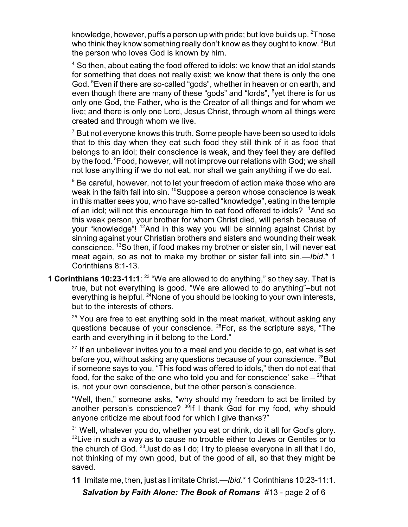knowledge, however, puffs a person up with pride; but love builds up.  $\rm{^{2}Those}$ who think they know something really don't know as they ought to know.  $^3$ But the person who loves God is known by him.

 $^4$  So then, about eating the food offered to idols: we know that an idol stands for something that does not really exist; we know that there is only the one God. <sup>5</sup>Even if there are so-called "gods", whether in heaven or on earth, and even though there are many of these "gods" and "lords", <sup>6</sup>yet there is for us only one God, the Father, who is the Creator of all things and for whom we live; and there is only one Lord, Jesus Christ, through whom all things were created and through whom we live.

 $^7$  But not everyone knows this truth. Some people have been so used to idols that to this day when they eat such food they still think of it as food that belongs to an idol; their conscience is weak, and they feel they are defiled by the food. <sup>8</sup>Food, however, will not improve our relations with God; we shall not lose anything if we do not eat, nor shall we gain anything if we do eat.

<sup>9</sup> Be careful, however, not to let your freedom of action make those who are weak in the faith fall into  $sin.$   $^{10}$ Suppose a person whose conscience is weak in this matter sees you, who have so-called "knowledge", eating in the temple of an idol; will not this encourage him to eat food offered to idols? <sup>11</sup>And so this weak person, your brother for whom Christ died, will perish because of your "knowledge"! <sup>12</sup>And in this way you will be sinning against Christ by sinning against your Christian brothers and sisters and wounding their weak conscience. <sup>13</sup>So then, if food makes my brother or sister sin, I will never eat meat again, so as not to make my brother or sister fall into sin.—*Ibid*.\* 1 Corinthians 8:1-13.

**1 Corinthians 10:23-11:1**: <sup>23</sup> "We are allowed to do anything," so they say. That is true, but not everything is good. "We are allowed to do anything"–but not everything is helpful. <sup>24</sup>None of you should be looking to your own interests, but to the interests of others.

 $25$  You are free to eat anything sold in the meat market, without asking any questions because of your conscience. <sup>26</sup>For, as the scripture says, "The earth and everything in it belong to the Lord."

 $27$  If an unbeliever invites you to a meal and you decide to go, eat what is set before you, without asking any questions because of your conscience.  $^{28}$ But if someone says to you, "This food was offered to idols," then do not eat that food, for the sake of the one who told you and for conscience' sake  $^{29}$ that is, not your own conscience, but the other person's conscience.

"Well, then," someone asks, "why should my freedom to act be limited by another person's conscience? <sup>30</sup>If I thank God for my food, why should anyone criticize me about food for which I give thanks?"

 $31$  Well, whatever you do, whether you eat or drink, do it all for God's glory.  $32$ Live in such a way as to cause no trouble either to Jews or Gentiles or to the church of God. <sup>33</sup>Just do as I do; I try to please everyone in all that I do, not thinking of my own good, but of the good of all, so that they might be saved.

**11** Imitate me, then, just as I imitate Christ.—*Ibid.*\* 1 Corinthians 10:23-11:1.

*Salvation by Faith Alone: The Book of Romans* #13 - page 2 of 6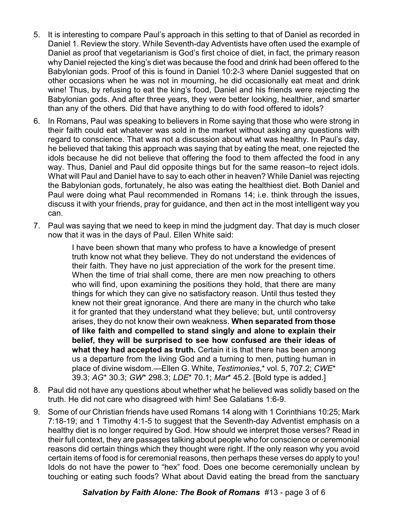- 5. It is interesting to compare Paul's approach in this setting to that of Daniel as recorded in Daniel 1. Review the story. While Seventh-day Adventists have often used the example of Daniel as proof that vegetarianism is God's first choice of diet, in fact, the primary reason why Daniel rejected the king's diet was because the food and drink had been offered to the Babylonian gods. Proof of this is found in Daniel 10:2-3 where Daniel suggested that on other occasions when he was not in mourning, he did occasionally eat meat and drink wine! Thus, by refusing to eat the king's food, Daniel and his friends were rejecting the Babylonian gods. And after three years, they were better looking, healthier, and smarter than any of the others. Did that have anything to do with food offered to idols?
- 6. In Romans, Paul was speaking to believers in Rome saying that those who were strong in their faith could eat whatever was sold in the market without asking any questions with regard to conscience. That was not a discussion about what was healthy. In Paul's day, he believed that taking this approach was saying that by eating the meat, one rejected the idols because he did not believe that offering the food to them affected the food in any way. Thus, Daniel and Paul did opposite things but for the same reason–to reject idols. What will Paul and Daniel have to say to each other in heaven? While Daniel was rejecting the Babylonian gods, fortunately, he also was eating the healthiest diet. Both Daniel and Paul were doing what Paul recommended in Romans 14; i.e. think through the issues, discuss it with your friends, pray for guidance, and then act in the most intelligent way you can.
- 7. Paul was saying that we need to keep in mind the judgment day. That day is much closer now that it was in the days of Paul. Ellen White said:

I have been shown that many who profess to have a knowledge of present truth know not what they believe. They do not understand the evidences of their faith. They have no just appreciation of the work for the present time. When the time of trial shall come, there are men now preaching to others who will find, upon examining the positions they hold, that there are many things for which they can give no satisfactory reason. Until thus tested they knew not their great ignorance. And there are many in the church who take it for granted that they understand what they believe; but, until controversy arises, they do not know their own weakness. **When separated from those of like faith and compelled to stand singly and alone to explain their belief, they will be surprised to see how confused are their ideas of what they had accepted as truth.** Certain it is that there has been among us a departure from the living God and a turning to men, putting human in place of divine wisdom.—Ellen G. White, *Testimonies*,\* vol. 5, 707.2; *CWE*\* 39.3; *AG*\* 30.3; *GW*\* 298.3; *LDE*\* 70.1; *Mar*\* 45.2. [Bold type is added.]

- 8. Paul did not have any questions about whether what he believed was solidly based on the truth. He did not care who disagreed with him! See Galatians 1:6-9.
- 9. Some of our Christian friends have used Romans 14 along with 1 Corinthians 10:25; Mark 7:18-19; and 1 Timothy 4:1-5 to suggest that the Seventh-day Adventist emphasis on a healthy diet is no longer required by God. How should we interpret those verses? Read in their full context, they are passages talking about people who for conscience or ceremonial reasons did certain things which they thought were right. If the only reason why you avoid certain items of food is for ceremonial reasons, then perhaps these verses do apply to you! Idols do not have the power to "hex" food. Does one become ceremonially unclean by touching or eating such foods? What about David eating the bread from the sanctuary

*Salvation by Faith Alone: The Book of Romans* #13 - page 3 of 6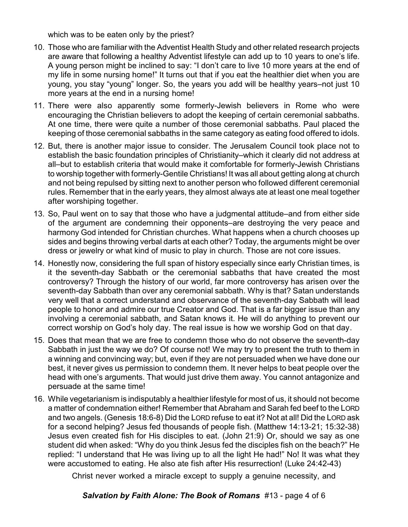which was to be eaten only by the priest?

- 10. Those who are familiar with the Adventist Health Study and other related research projects are aware that following a healthy Adventist lifestyle can add up to 10 years to one's life. A young person might be inclined to say: "I don't care to live 10 more years at the end of my life in some nursing home!" It turns out that if you eat the healthier diet when you are young, you stay "young" longer. So, the years you add will be healthy years–not just 10 more years at the end in a nursing home!
- 11. There were also apparently some formerly-Jewish believers in Rome who were encouraging the Christian believers to adopt the keeping of certain ceremonial sabbaths. At one time, there were quite a number of those ceremonial sabbaths. Paul placed the keeping of those ceremonial sabbaths in the same category as eating food offered to idols.
- 12. But, there is another major issue to consider. The Jerusalem Council took place not to establish the basic foundation principles of Christianity–which it clearly did not address at all–but to establish criteria that would make it comfortable for formerly-Jewish Christians to worship together with formerly-Gentile Christians! It was all about getting along at church and not being repulsed by sitting next to another person who followed different ceremonial rules. Remember that in the early years, they almost always ate at least one meal together after worshiping together.
- 13. So, Paul went on to say that those who have a judgmental attitude–and from either side of the argument are condemning their opponents–are destroying the very peace and harmony God intended for Christian churches. What happens when a church chooses up sides and begins throwing verbal darts at each other? Today, the arguments might be over dress or jewelry or what kind of music to play in church. Those are not core issues.
- 14. Honestly now, considering the full span of history especially since early Christian times, is it the seventh-day Sabbath or the ceremonial sabbaths that have created the most controversy? Through the history of our world, far more controversy has arisen over the seventh-day Sabbath than over any ceremonial sabbath. Why is that? Satan understands very well that a correct understand and observance of the seventh-day Sabbath will lead people to honor and admire our true Creator and God. That is a far bigger issue than any involving a ceremonial sabbath, and Satan knows it. He will do anything to prevent our correct worship on God's holy day. The real issue is how we worship God on that day.
- 15. Does that mean that we are free to condemn those who do not observe the seventh-day Sabbath in just the way we do? Of course not! We may try to present the truth to them in a winning and convincing way; but, even if they are not persuaded when we have done our best, it never gives us permission to condemn them. It never helps to beat people over the head with one's arguments. That would just drive them away. You cannot antagonize and persuade at the same time!
- 16. While vegetarianism is indisputably a healthier lifestyle for most of us, it should not become a matter of condemnation either! Remember that Abraham and Sarah fed beef to the LORD and two angels. (Genesis 18:6-8) Did the LORD refuse to eat it? Not at all! Did the LORD ask for a second helping? Jesus fed thousands of people fish. (Matthew 14:13-21; 15:32-38) Jesus even created fish for His disciples to eat. (John 21:9) Or, should we say as one student did when asked: "Why do you think Jesus fed the disciples fish on the beach?" He replied: "I understand that He was living up to all the light He had!" No! It was what they were accustomed to eating. He also ate fish after His resurrection! (Luke 24:42-43)

Christ never worked a miracle except to supply a genuine necessity, and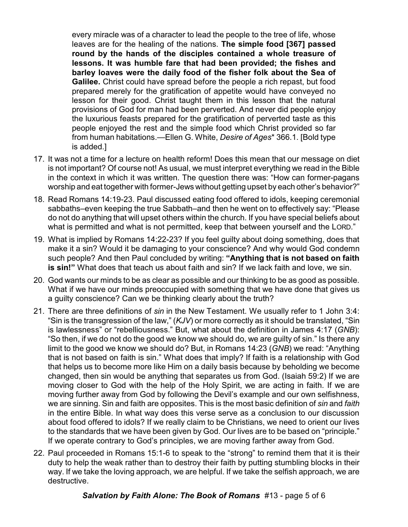every miracle was of a character to lead the people to the tree of life, whose leaves are for the healing of the nations. **The simple food [367] passed round by the hands of the disciples contained a whole treasure of lessons. It was humble fare that had been provided; the fishes and barley loaves were the daily food of the fisher folk about the Sea of Galilee.** Christ could have spread before the people a rich repast, but food prepared merely for the gratification of appetite would have conveyed no lesson for their good. Christ taught them in this lesson that the natural provisions of God for man had been perverted. And never did people enjoy the luxurious feasts prepared for the gratification of perverted taste as this people enjoyed the rest and the simple food which Christ provided so far from human habitations.—Ellen G. White, *Desire of Ages*\* 366.1. [Bold type is added.]

- 17. It was not a time for a lecture on health reform! Does this mean that our message on diet is not important? Of course not! As usual, we must interpret everything we read in the Bible in the context in which it was written. The question there was: "How can former-pagans worship and eat together with former-Jews without getting upset by each other's behavior?"
- 18. Read Romans 14:19-23. Paul discussed eating food offered to idols, keeping ceremonial sabbaths–even keeping the true Sabbath–and then he went on to effectively say: "Please do not do anything that will upset others within the church. If you have special beliefs about what is permitted and what is not permitted, keep that between yourself and the LORD."
- 19. What is implied by Romans 14:22-23? If you feel guilty about doing something, does that make it a sin? Would it be damaging to your conscience? And why would God condemn such people? And then Paul concluded by writing: **"Anything that is not based on faith is sin!"** What does that teach us about faith and sin? If we lack faith and love, we sin.
- 20. God wants our minds to be as clear as possible and our thinking to be as good as possible. What if we have our minds preoccupied with something that we have done that gives us a guilty conscience? Can we be thinking clearly about the truth?
- 21. There are three definitions of *sin* in the New Testament. We usually refer to 1 John 3:4: "Sin is the transgression of the law," (*KJV*) or more correctly as it should be translated, "Sin is lawlessness" or "rebelliousness." But, what about the definition in James 4:17 (*GNB*): "So then, if we do not do the good we know we should do, we are guilty of sin." Is there any limit to the good we know we should do? But, in Romans 14:23 (*GNB*) we read: "Anything that is not based on faith is sin." What does that imply? If faith is a relationship with God that helps us to become more like Him on a daily basis because by beholding we become changed, then sin would be anything that separates us from God. (Isaiah 59:2) If we are moving closer to God with the help of the Holy Spirit, we are acting in faith. If we are moving further away from God by following the Devil's example and our own selfishness, we are sinning. Sin and faith are opposites. This is the most basic definition of *sin* and *faith* in the entire Bible. In what way does this verse serve as a conclusion to our discussion about food offered to idols? If we really claim to be Christians, we need to orient our lives to the standards that we have been given by God. Our lives are to be based on "principle." If we operate contrary to God's principles, we are moving farther away from God.
- 22. Paul proceeded in Romans 15:1-6 to speak to the "strong" to remind them that it is their duty to help the weak rather than to destroy their faith by putting stumbling blocks in their way. If we take the loving approach, we are helpful. If we take the selfish approach, we are destructive.